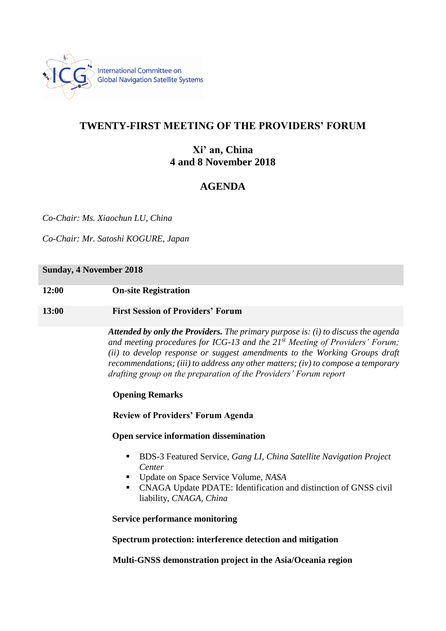

# **TWENTY-FIRST MEETING OF THE PROVIDERS' FORUM**

# **Xi' an, China 4 and 8 November 2018**

# **AGENDA**

*Co-Chair: Ms. Xiaochun LU, China*

*Co-Chair: Mr. Satoshi KOGURE, Japan*

# **Sunday, 4 November 2018**

**12:00 On-site Registration**

# **13:00 First Session of Providers' Forum**

*Attended by only the Providers. The primary purpose is: (i) to discuss the agenda and meeting procedures for ICG-13 and the 21st Meeting of Providers' Forum; (ii) to develop response or suggest amendments to the Working Groups draft recommendations; (iii) to address any other matters; (iv) to compose a temporary drafting group on the preparation of the Providers' Forum report*

# **Opening Remarks**

**Review of Providers' Forum Agenda**

# **Open service information dissemination**

- BDS-3 Featured Service, *Gang LI, China Satellite Navigation Project Center*
- Update on Space Service Volume, *NASA*
- CNAGA Update PDATE: Identification and distinction of GNSS civil liability, *CNAGA, China*

**Service performance monitoring**

**Spectrum protection: interference detection and mitigation**

**Multi-GNSS demonstration project in the Asia/Oceania region**